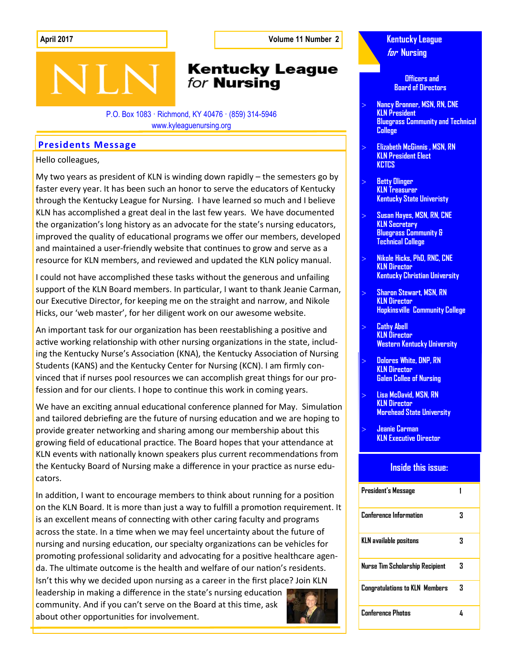**April 2017 Volume 11 Number 2**

## **Kentucky League** for **Nursing**

P.O. Box 1083 · Richmond, KY 40476 · (859) 314-5946 www.kyleaguenursing.org

### **Presidents Message**

Hello colleagues,

My two years as president of KLN is winding down rapidly – the semesters go by faster every year. It has been such an honor to serve the educators of Kentucky through the Kentucky League for Nursing. I have learned so much and I believe KLN has accomplished a great deal in the last few years. We have documented the organization's long history as an advocate for the state's nursing educators, improved the quality of educational programs we offer our members, developed and maintained a user-friendly website that continues to grow and serve as a resource for KLN members, and reviewed and updated the KLN policy manual.

I could not have accomplished these tasks without the generous and unfailing support of the KLN Board members. In particular, I want to thank Jeanie Carman, our Executive Director, for keeping me on the straight and narrow, and Nikole Hicks, our 'web master', for her diligent work on our awesome website.

An important task for our organization has been reestablishing a positive and active working relationship with other nursing organizations in the state, including the Kentucky Nurse's Association (KNA), the Kentucky Association of Nursing Students (KANS) and the Kentucky Center for Nursing (KCN). I am firmly convinced that if nurses pool resources we can accomplish great things for our profession and for our clients. I hope to continue this work in coming years.

We have an exciting annual educational conference planned for May. Simulation and tailored debriefing are the future of nursing education and we are hoping to provide greater networking and sharing among our membership about this growing field of educational practice. The Board hopes that your attendance at KLN events with nationally known speakers plus current recommendations from the Kentucky Board of Nursing make a difference in your practice as nurse educators.

In addition, I want to encourage members to think about running for a position on the KLN Board. It is more than just a way to fulfill a promotion requirement. It is an excellent means of connecting with other caring faculty and programs across the state. In a time when we may feel uncertainty about the future of nursing and nursing education, our specialty organizations can be vehicles for promoting professional solidarity and advocating for a positive healthcare agenda. The ultimate outcome is the health and welfare of our nation's residents. Isn't this why we decided upon nursing as a career in the first place? Join KLN

leadership in making a difference in the state's nursing education community. And if you can't serve on the Board at this time, ask about other opportunities for involvement.



**Kentucky League for Nursing**

> **Officers and Board of Directors**

- **Nancy Bronner, MSN, RN, CNE KLN President Bluegrass Community and Technical College**
- **Elizabeth McGinnis , MSN, RN KLN President Elect KCTCS**
- **Betty Olinger KLN Treasurer Kentucky State Univeristy**
- **Susan Hayes, MSN, RN, CNE KLN Secretary Bluegrass Community & Technical College**
- **Nikole Hicks, PhD, RNC, CNE KLN Director Kentucky Christian University**
- **Sharon Stewart, MSN, RN KLN Director Hopkinsville Community College**
- **Cathy Abell KLN Director Western Kentucky University**
- **Dolores White, DNP, RN KLN Director Galen Collee of Nursing**
- **Lisa McDavid, MSN, RN KLN Director Morehead State University**
- **Jeanie Carman KLN Executive Director**

### **Inside this issue:**

| President's Message                   |   |
|---------------------------------------|---|
| Conference Information                | 3 |
| KLN available positons                | 3 |
| Nurse Tim Scholarship Recipient       | З |
| <b>Congratulations to KLN Members</b> | 3 |
| <b>Conference Photos</b>              | 4 |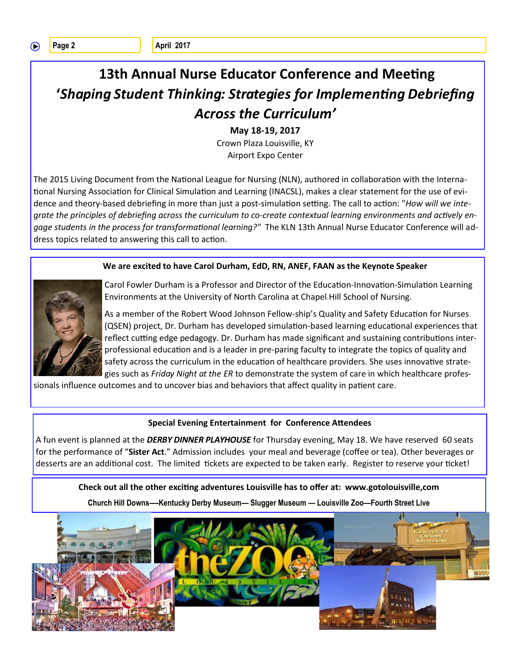# **13th Annual Nurse Educator Conference and Meeting '***Shaping Student Thinking: Strategies for Implementing Debriefing Across the Curriculum'*

**May 18-19, 2017**

Crown Plaza Louisville, KY Airport Expo Center

The 2015 Living Document from the National League for Nursing (NLN), authored in collaboration with the International Nursing Association for Clinical Simulation and Learning (INACSL), makes a clear statement for the use of evidence and theory-based debriefing in more than just a post-simulation setting. The call to action: "*How will we integrate the principles of debriefing across the curriculum to co-create contextual learning environments and actively engage students in the process for transformational learning?"* The KLN 13th Annual Nurse Educator Conference will address topics related to answering this call to action.

#### **We are excited to have Carol Durham, EdD, RN, ANEF, FAAN as the Keynote Speaker**



Carol Fowler Durham is a Professor and Director of the Education-Innovation-Simulation Learning Environments at the University of North Carolina at Chapel Hill School of Nursing.

As a member of the Robert Wood Johnson Fellow-ship's Quality and Safety Education for Nurses (QSEN) project, Dr. Durham has developed simulation-based learning educational experiences that reflect cutting edge pedagogy. Dr. Durham has made significant and sustaining contributions interprofessional education and is a leader in pre-paring faculty to integrate the topics of quality and safety across the curriculum in the education of healthcare providers. She uses innovative strategies such as *Friday Night at the ER* to demonstrate the system of care in which healthcare profes-

sionals influence outcomes and to uncover bias and behaviors that affect quality in patient care.

#### **Special Evening Entertainment for Conference Attendees**

A fun event is planned at the *DERBY DINNER PLAYHOUSE* for Thursday evening, May 18. We have reserved 60 seats for the performance of "**Sister Act**." Admission includes your meal and beverage (coffee or tea). Other beverages or desserts are an additional cost. The limited tickets are expected to be taken early. Register to reserve your ticket!

**Check out all the other exciting adventures Louisville has to offer at: www.gotolouisville,com**

**Church Hill Downs—-Kentucky Derby Museum— Slugger Museum — Louisville Zoo—Fourth Street Live**

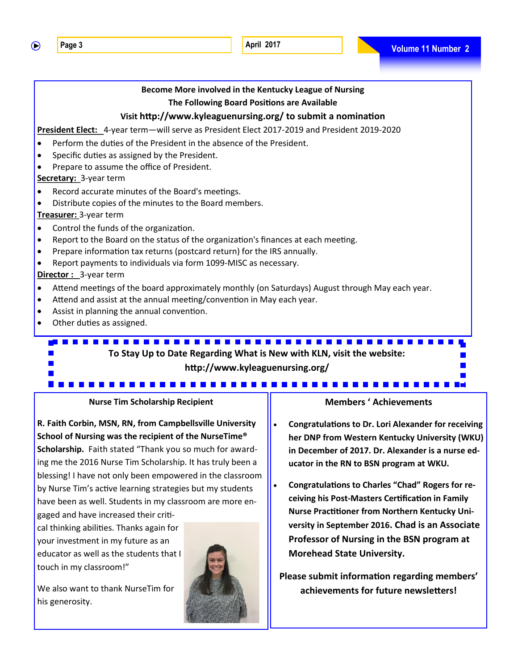$\bigcirc$ 



**R. Faith Corbin, MSN, RN, from Campbellsville University School of Nursing was the recipient of the NurseTime® Scholarship.** Faith stated "Thank you so much for awarding me the 2016 Nurse Tim Scholarship. It has truly been a blessing! I have not only been empowered in the classroom by Nurse Tim's active learning strategies but my students have been as well. Students in my classroom are more en-

gaged and have increased their critical thinking abilities. Thanks again for your investment in my future as an educator as well as the students that I touch in my classroom!"

We also want to thank NurseTim for his generosity.

- **Congratulations to Dr. Lori Alexander for receiving her DNP from Western Kentucky University (WKU) in December of 2017. Dr. Alexander is a nurse educator in the RN to BSN program at WKU.**
- **Congratulations to Charles "Chad" Rogers for receiving his Post-Masters Certification in Family Nurse Practitioner from Northern Kentucky University in September 2016. Chad is an Associate Professor of Nursing in the BSN program at Morehead State University.**

**Please submit information regarding members' achievements for future newsletters!**